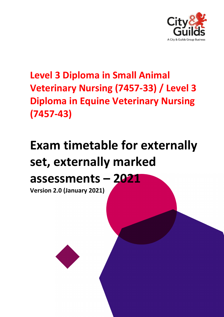

### **Level 3 Diploma in Small Animal Veterinary Nursing (7457-33) / Level 3 Diploma in Equine Veterinary Nursing (7457-43)**

# **Exam timetable for externally set, externally marked**

## **assessments – 2021**

**Version 2.0 (January 2021)**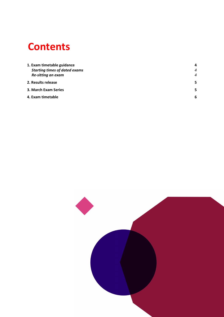### **Contents**

| 1. Exam timetable guidance           | 4              |
|--------------------------------------|----------------|
| <b>Starting times of dated exams</b> | $\overline{4}$ |
| Re-sitting an exam                   | $\overline{4}$ |
| 2. Results release                   | 5              |
| 3. March Exam Series                 | 5              |
| 4. Exam timetable                    | 6              |
|                                      |                |

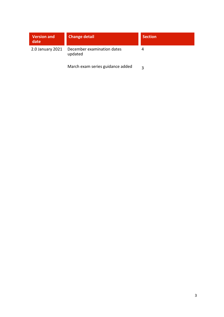| <b>Version and</b><br>date | <b>Change detail</b>                  | <b>Section</b> |
|----------------------------|---------------------------------------|----------------|
| 2.0 January 2021           | December examination dates<br>updated |                |
|                            | March exam series guidance added      |                |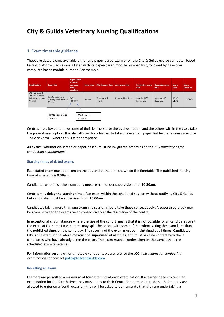### **City & Guilds Veterinary Nursing Qualifications**

#### <span id="page-3-0"></span>1. Exam timetable guidance

These are dated exams available either as a paper-based exam or on the City & Guilds evolve computer-based testing platform. Each exam is listed with its paper-based module number first, followed by its evolve computer-based module number. For example:

| Qualification                                                       | <b>Exam title</b>                                               | <b>Paper based</b><br>/ evolve<br>onscreen<br>exam<br>numbers | <b>Exam type</b> | <b>March exam date</b> | June exam date   | September exam<br>date               | <b>December</b> exam<br>date        | Exam<br>time       | Exam<br>duration |
|---------------------------------------------------------------------|-----------------------------------------------------------------|---------------------------------------------------------------|------------------|------------------------|------------------|--------------------------------------|-------------------------------------|--------------------|------------------|
| 7457-33 Level 3<br>Diploma in Small<br>Animal Veterinary<br>Nursing | Level 3 Veterinary<br><b>Nursing Small Animals</b><br>(Paper 1) | 7457-<br>400/600                                              | Written          | Tuesday 3rd<br>March   | Monday 22nd June | Monday 28 <sup>th</sup><br>September | Monday 14 <sup>th</sup><br>December | $09:30 -$<br>11:00 | 2 hours          |
| 400 (paper-based<br>600 (evolve<br>module)<br>module)               |                                                                 |                                                               |                  |                        |                  |                                      |                                     |                    |                  |

Centres are allowed to have some of their learners take the evolve module and the others within the class take the paper-based option. It is also allowed for a learner to take one exam on paper but further exams on evolve – or vice versa – where this is felt appropriate.

All exams, whether on-screen or paper-based, **must** be invigilated according to the *JCQ Instructions for conducting examinations*.

#### <span id="page-3-1"></span>**Starting times of dated exams**

Each dated exam must be taken on the day and at the time shown on the timetable. The published starting time of all exams is **9.30am**.

Candidates who finish the exam early must remain under supervision until **10.30am**.

Centres may **delay the starting time** of an exam within the scheduled session without notifying City & Guilds but candidates must be supervised from **10.00am**.

Candidates taking more than one exam in a session should take these consecutively. A **supervised** break may be given between the exams taken consecutively at the discretion of the centre.

**In exceptional circumstances** where the size of the cohort means that it is not possible for all candidates to sit the exam at the same time, centres may split the cohort with some of the cohort sitting the exam later than the published time, on the same day. The security of the exam must be maintained at all times. Candidates taking the exam at the later time must be **supervised** at all times, and must have no contact with those candidates who have already taken the exam. The exam **must** be undertaken on the same day as the scheduled exam timetable.

For information on any other timetable variations, please refer to the *JCQ Instructions for conducting examinations* or contac[t policy@cityandguilds.com](mailto:policy@cityandguilds.com)

#### <span id="page-3-2"></span>**Re-sitting an exam**

Learners are permitted a maximum of **four** attempts at each examination. If a learner needs to re-sit an examination for the fourth time, they must apply to their Centre for permission to do so. Before they are allowed to enter on a fourth occasion, they will be asked to demonstrate that they are undertaking a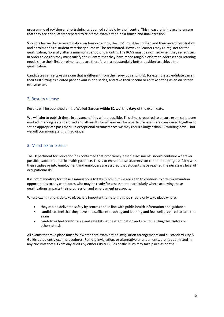programme of revision and re-training as deemed suitable by their centre. This measure is in place to ensure that they are adequately prepared to re-sit the examination on a fourth and final occasion.

Should a learner fail an examination on four occasions, the RCVS must be notified and their award registration and enrolment as a student veterinary nurse will be terminated. However, learners may re-register for the qualification, normally after a minimum period of 6 months. The RCVS must be notified when they re-register. In order to do this they must satisfy their Centre that they have made tangible efforts to address their learning needs since their first enrolment, and are therefore in a substantially better position to achieve the qualification.

Candidates can re-take an exam that is different from their previous sitting(s), for example a candidate can sit their first sitting as a dated paper exam in one series, and take their second or re-take sitting as an on-screen evolve exam.

#### <span id="page-4-0"></span>2. Results release

Results will be published on the Walled Garden **within 32 working days** of the exam date.

We will aim to publish these in advance of this where possible. This time is required to ensure exam scripts are marked, marking is standardised and all results for all learners for a particular exam are considered together to set an appropriate pass mark. In exceptional circumstances we may require longer than 32 working days – but we will communicate this in advance.

#### <span id="page-4-1"></span>3. March Exam Series

The Department for Education has confirmed that proficiency-based assessments should continue wherever possible, subject to public health guidance. This is to ensure these students can continue to progress fairly with their studies or into employment and employers are assured that students have reached the necessary level of occupational skill.

It is not mandatory for these examinations to take place, but we are keen to continue to offer examination opportunities to any candidates who may be ready for assessment, particularly where achieving these qualifications impacts their progression and employment prospects.

Where examinations do take place, it is important to note that they should only take place where:

- they can be delivered safely by centres and in line with public health information and guidance
- candidates feel that they have had sufficient teaching and learning and feel well prepared to take the exam
- candidates feel comfortable and safe taking the examination and are not putting themselves or others at risk.

All exams that take place must follow standard examination invigilation arrangements and all standard City & Guilds dated entry exam procedures. Remote invigilation, or alternative arrangements, are not permitted in any circumstances. Exam day audits by either City & Guilds or the RCVS may take place as normal.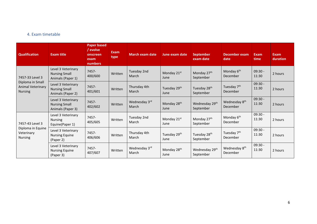#### 4. Exam timetable

<span id="page-5-0"></span>

| <b>Qualification</b>                                                       | <b>Exam title</b>                                               | <b>Paper based</b><br>/ evolve<br>onscreen<br>exam<br>numbers | <b>Exam</b><br>type | <b>March exam date</b>       | <b>June exam date</b>           | <b>September</b><br>exam date           | <b>December exam</b><br>date          | <b>Exam</b><br>time | <b>Exam</b><br>duration |
|----------------------------------------------------------------------------|-----------------------------------------------------------------|---------------------------------------------------------------|---------------------|------------------------------|---------------------------------|-----------------------------------------|---------------------------------------|---------------------|-------------------------|
| 7457-33 Level 3<br>Diploma in Small<br>Animal Veterinary<br><b>Nursing</b> | Level 3 Veterinary<br><b>Nursing Small</b><br>Animals (Paper 1) | 7457-<br>400/600                                              | Written             | Tuesday 2nd<br>March         | Monday 21st<br>June             | Monday 27th<br>September                | Monday 6 <sup>th</sup><br>December    | $09:30 -$<br>11:30  | 2 hours                 |
|                                                                            | Level 3 Veterinary<br><b>Nursing Small</b><br>Animals (Paper 2) | 7457-<br>401/601                                              | Written             | Thursday 4th<br><b>March</b> | Tuesday 29th<br>June            | Tuesday 28 <sup>th</sup><br>September   | Tuesday 7 <sup>th</sup><br>December   | $09:30 -$<br>11:30  | 2 hours                 |
|                                                                            | Level 3 Veterinary<br><b>Nursing Small</b><br>Animals (Paper 3) | 7457-<br>402/602                                              | Written             | Wednesday 3rd<br>March       | Monday 28 <sup>th</sup><br>June | Wednesday 29 <sup>th</sup><br>September | Wednesday 8 <sup>th</sup><br>December | $09:30 -$<br>11:30  | 2 hours                 |
| 7457-43 Level 3<br>Diploma in Equine<br>Veterinary<br><b>Nursing</b>       | Level 3 Veterinary<br><b>Nursing</b><br>Equine(Paper 1)         | 7457-<br>405/605                                              | Written             | Tuesday 2nd<br>March         | Monday 21st<br>June             | Monday 27 <sup>th</sup><br>September    | Monday 6 <sup>th</sup><br>December    | $09:30 -$<br>11:30  | 2 hours                 |
|                                                                            | Level 3 Veterinary<br><b>Nursing Equine</b><br>(Paper 2)        | 7457-<br>406/606                                              | Written             | Thursday 4th<br>March        | Tuesday 29th<br>June            | Tuesday 28 <sup>th</sup><br>September   | Tuesday 7 <sup>th</sup><br>December   | $09:30 -$<br>11:30  | 2 hours                 |
|                                                                            | Level 3 Veterinary<br><b>Nursing Equine</b><br>(Paper 3)        | 7457-<br>407/607                                              | Written             | Wednesday 3rd<br>March       | Monday 28 <sup>th</sup><br>June | Wednesday 29th<br>September             | Wednesday 8 <sup>th</sup><br>December | $09:30 -$<br>11:30  | 2 hours                 |